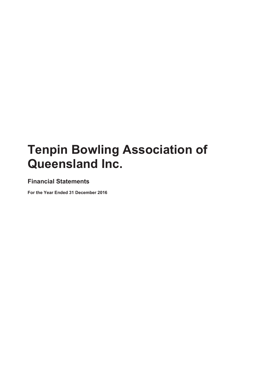**Financial Statements**

**For the Year Ended 31 December 2016**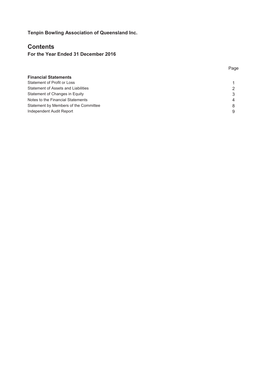# **Contents**

# **For the Year Ended 31 December 2016**

| <b>Financial Statements</b>           |  |
|---------------------------------------|--|
| Statement of Profit or Loss           |  |
| Statement of Assets and Liabilities   |  |
| Statement of Changes in Equity        |  |
| Notes to the Financial Statements     |  |
| Statement by Members of the Committee |  |
| Independent Audit Report              |  |
|                                       |  |

Page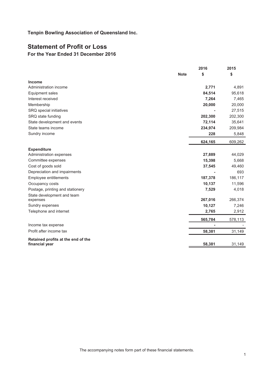# **Statement of Profit or Loss**

# **For the Year Ended 31 December 2016**

|                                                      |             | 2016    | 2015    |
|------------------------------------------------------|-------------|---------|---------|
|                                                      | <b>Note</b> | \$      | \$      |
| Income                                               |             |         |         |
| Administration income                                |             | 2,771   | 4,891   |
| Equipment sales                                      |             | 84,514  | 95,618  |
| Interest received                                    |             | 7,264   | 7,465   |
| Membership                                           |             | 20,000  | 20,000  |
| SRQ special initiatives                              |             |         | 27,515  |
| SRQ state funding                                    |             | 202,300 | 202,300 |
| State development and events                         |             | 72,114  | 35,641  |
| State teams income                                   |             | 234,974 | 209,984 |
| Sundry income                                        |             | 228     | 5,848   |
|                                                      |             | 624,165 | 609,262 |
| <b>Expenditure</b>                                   |             |         |         |
| Administration expenses                              |             | 27,889  | 44,029  |
| Committee expenses                                   |             | 15,398  | 5,668   |
| Cost of goods sold                                   |             | 37,545  | 49,460  |
| Depreciation and impairments                         |             |         | 693     |
| Employee entitlements                                |             | 187,378 | 186,117 |
| Occupancy costs                                      |             | 10,137  | 11,596  |
| Postage, printing and stationery                     |             | 7,529   | 4,018   |
| State development and team                           |             | 267,016 |         |
| expenses                                             |             |         | 266,374 |
| Sundry expenses                                      |             | 10,127  | 7,246   |
| Telephone and internet                               |             | 2,765   | 2,912   |
|                                                      |             | 565,784 | 578,113 |
| Income tax expense                                   |             |         |         |
| Profit after income tax                              |             | 58,381  | 31,149  |
| Retained profits at the end of the<br>financial year |             | 58,381  | 31,149  |
|                                                      |             |         |         |

The accompanying notes form part of these financial statements.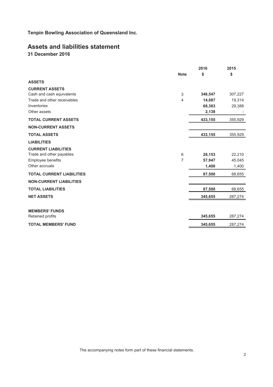# **Assets and liabilities statement**

**31 December 2016**

|                                  |                | 2016    | 2015    |
|----------------------------------|----------------|---------|---------|
|                                  | <b>Note</b>    | \$      | \$      |
| <b>ASSETS</b>                    |                |         |         |
| <b>CURRENT ASSETS</b>            |                |         |         |
| Cash and cash equivalents        | 3              | 348,547 | 307,227 |
| Trade and other receivables      | $\overline{4}$ | 14,087  | 19,314  |
| Inventories                      |                | 68,383  | 29,388  |
| Other assets                     |                | 2,138   |         |
| <b>TOTAL CURRENT ASSETS</b>      |                | 433,155 | 355,929 |
| <b>NON-CURRENT ASSETS</b>        |                |         |         |
| <b>TOTAL ASSETS</b>              |                | 433,155 | 355,929 |
| <b>LIABILITIES</b>               |                |         |         |
| <b>CURRENT LIABILITIES</b>       |                |         |         |
| Trade and other payables         | 6              | 28,153  | 22,210  |
| Employee benefits                | $\overline{7}$ | 57,947  | 45,045  |
| Other accruals                   |                | 1,400   | 1,400   |
| <b>TOTAL CURRENT LIABILITIES</b> |                | 87,500  | 68,655  |
| <b>NON-CURRENT LIABILITIES</b>   |                |         |         |
| <b>TOTAL LIABILITIES</b>         |                | 87,500  | 68,655  |
| <b>NET ASSETS</b>                |                | 345,655 | 287,274 |
|                                  |                |         |         |
| <b>MEMBERS' FUNDS</b>            |                |         |         |
| Retained profits                 |                | 345,655 | 287,274 |
| <b>TOTAL MEMBERS' FUND</b>       |                | 345,655 | 287,274 |
|                                  |                |         |         |

The accompanying notes form part of these financial statements.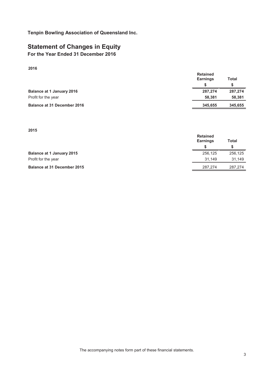# **Statement of Changes in Equity**

**For the Year Ended 31 December 2016**

**2016**

|                                    | <b>Retained</b><br><b>Earnings</b> | Total   |
|------------------------------------|------------------------------------|---------|
|                                    |                                    |         |
| <b>Balance at 1 January 2016</b>   | 287,274                            | 287,274 |
| Profit for the year                | 58.381                             | 58,381  |
| <b>Balance at 31 December 2016</b> | 345.655                            | 345,655 |

**2015**

|                                    | <b>Retained</b><br><b>Earnings</b> |         |
|------------------------------------|------------------------------------|---------|
|                                    |                                    |         |
| <b>Balance at 1 January 2015</b>   | 256,125                            | 256.125 |
| Profit for the year                | 31.149                             | 31,149  |
| <b>Balance at 31 December 2015</b> | 287.274                            | 287.274 |

The accompanying notes form part of these financial statements.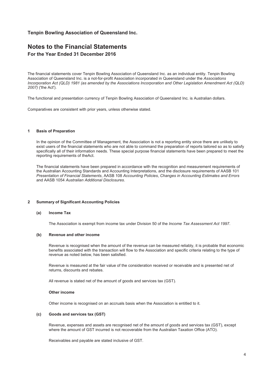# **Notes to the Financial Statements For the Year Ended 31 December 2016**

The financial statements cover Tenpin Bowling Association of Queensland Inc. as an individual entity. Tenpin Bowling Association of Queensland Inc. is a not-for-profit Association incorporated in Queensland under the *Associations Incorporation Act (QLD) 1981 (as amended by the Associations Incorporation and Other Legislation Amendment Act (QLD) 2007)* ('the Act').

The functional and presentation currency of Tenpin Bowling Association of Queensland Inc. is Australian dollars.

Comparatives are consistent with prior years, unless otherwise stated.

#### **1 Basis of Preparation**

In the opinion of the Committee of Management, the Association is not a reporting entity since there are unlikely to exist users of the financial statements who are not able to command the preparation of reports tailored so as to satisfy specifically all of their information needs. These special purpose financial statements have been prepared to meet the reporting requirements of theAct.

The financial statements have been prepared in accordance with the recognition and measurement requirements of the Australian Accounting Standards and Accounting Interpretations, and the disclosure requirements of AASB 101 *Presentation of Financial Statements*, AASB 108 *Accounting Policies*, *Changes in Accounting Estimates and Errors* and AASB 1054 *Australian Additional Disclosures*.

#### **2 Summary of Significant Accounting Policies**

#### **(a) Income Tax**

The Association is exempt from income tax under Division 50 of the *Income Tax Assessment Act 1997*.

#### **(b) Revenue and other income**

Revenue is recognised when the amount of the revenue can be measured reliably, it is probable that economic benefits associated with the transaction will flow to the Association and specific criteria relating to the type of revenue as noted below, has been satisfied.

Revenue is measured at the fair value of the consideration received or receivable and is presented net of returns, discounts and rebates.

All revenue is stated net of the amount of goods and services tax (GST).

#### **Other income**

Other income is recognised on an accruals basis when the Association is entitled to it.

#### **(c) Goods and services tax (GST)**

Revenue, expenses and assets are recognised net of the amount of goods and services tax (GST), except where the amount of GST incurred is not recoverable from the Australian Taxation Office (ATO).

Receivables and payable are stated inclusive of GST.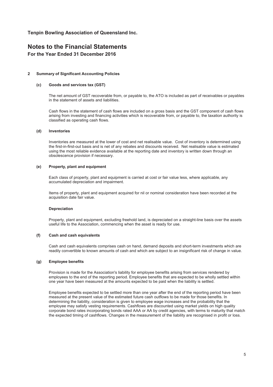# **Notes to the Financial Statements For the Year Ended 31 December 2016**

#### **2 Summary of Significant Accounting Policies**

#### **(c) Goods and services tax (GST)**

The net amount of GST recoverable from, or payable to, the ATO is included as part of receivables or payables in the statement of assets and liabilities.

Cash flows in the statement of cash flows are included on a gross basis and the GST component of cash flows arising from investing and financing activities which is recoverable from, or payable to, the taxation authority is classified as operating cash flows.

#### **(d) Inventories**

Inventories are measured at the lower of cost and net realisable value. Cost of inventory is determined using the first-in-first-out basis and is net of any rebates and discounts received. Net realisable value is estimated using the most reliable evidence available at the reporting date and inventory is written down through an obsolescence provision if necessary.

#### **(e) Property, plant and equipment**

Each class of property, plant and equipment is carried at cost or fair value less, where applicable, any accumulated depreciation and impairment.

Items of property, plant and equipment acquired for nil or nominal consideration have been recorded at the acquisition date fair value.

#### **Depreciation**

Property, plant and equipment, excluding freehold land, is depreciated on a straight-line basis over the assets useful life to the Association, commencing when the asset is ready for use.

#### **(f) Cash and cash equivalents**

Cash and cash equivalents comprises cash on hand, demand deposits and short-term investments which are readily convertible to known amounts of cash and which are subject to an insignificant risk of change in value.

#### **(g) Employee benefits**

Provision is made for the Association's liability for employee benefits arising from services rendered by employees to the end of the reporting period. Employee benefits that are expected to be wholly settled within one year have been measured at the amounts expected to be paid when the liability is settled.

Employee benefits expected to be settled more than one year after the end of the reporting period have been measured at the present value of the estimated future cash outflows to be made for those benefits. In determining the liability, consideration is given to employee wage increases and the probability that the employee may satisfy vesting requirements. Cashflows are discounted using market yields on high quality corporate bond rates incorporating bonds rated AAA or AA by credit agencies, with terms to maturity that match the expected timing of cashflows. Changes in the measurement of the liability are recognised in profit or loss.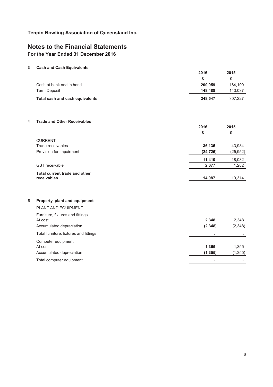# **Notes to the Financial Statements**

**For the Year Ended 31 December 2016**

**3 Cash and Cash Equivalents**

|   |                                        | 2016       | 2015       |
|---|----------------------------------------|------------|------------|
|   |                                        | \$         | \$         |
|   | Cash at bank and in hand               | 200,059    | 164,190    |
|   | <b>Term Deposit</b>                    | 148,488    | 143,037    |
|   | Total cash and cash equivalents        | 348,547    | 307,227    |
|   |                                        |            |            |
| 4 | <b>Trade and Other Receivables</b>     |            |            |
|   |                                        | 2016<br>\$ | 2015<br>\$ |
|   | <b>CURRENT</b>                         |            |            |
|   | Trade receivables                      | 36,135     | 43,984     |
|   | Provision for impairment               | (24, 725)  | (25, 952)  |
|   |                                        | 11,410     | 18,032     |
|   | <b>GST</b> receivable                  | 2,677      | 1,282      |
|   | <b>Total current trade and other</b>   |            |            |
|   | receivables                            | 14,087     | 19,314     |
|   |                                        |            |            |
| 5 | Property, plant and equipment          |            |            |
|   | PLANT AND EQUIPMENT                    |            |            |
|   | Furniture, fixtures and fittings       |            |            |
|   | At cost                                | 2,348      | 2,348      |
|   | Accumulated depreciation               | (2, 348)   | (2,348)    |
|   | Total furniture, fixtures and fittings | ۰          |            |
|   | Computer equipment                     |            |            |
|   | At cost                                | 1,355      | 1,355      |
|   | Accumulated depreciation               | (1, 355)   | (1, 355)   |
|   | Total computer equipment               |            |            |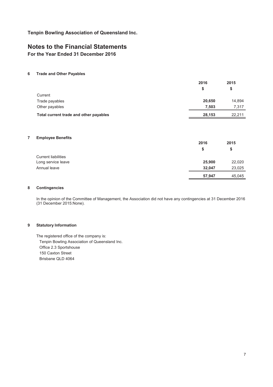# **Notes to the Financial Statements**

**For the Year Ended 31 December 2016**

### **6 Trade and Other Payables**

|                                        | 2016   | 2015   |
|----------------------------------------|--------|--------|
|                                        |        | S      |
| Current                                |        |        |
| Trade payables                         | 20,650 | 14,894 |
| Other payables                         | 7.503  | 7,317  |
| Total current trade and other payables | 28,153 | 22,211 |

#### **7 Employee Benefits**

|                            | 2016   | 2015   |
|----------------------------|--------|--------|
|                            | \$     | \$     |
| <b>Current liabilities</b> |        |        |
| Long service leave         | 25,900 | 22,020 |
| Annual leave               | 32.047 | 23,025 |
|                            | 57,947 | 45,045 |

#### **8 Contingencies**

In the opinion of the Committee of Management, the Association did not have any contingencies at 31 December 2016 (31 December 2015:None).

# **9 Statutory Information**

The registered office of the company is: Tenpin Bowling Association of Queensland Inc. Office 2.3 Sportshouse 150 Caxton Street Brisbane QLD 4064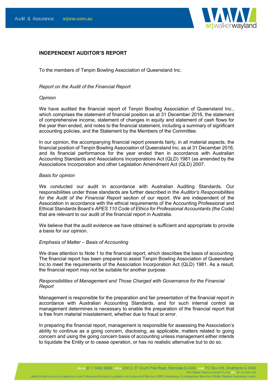

# **INDEPENDENT AUDITOR'S REPORT**

To the members of Tenpin Bowling Association of Queensland Inc.

# *Report on the Audit of the Financial Report*

### *Opinion*

We have audited the financial report of Tenpin Bowling Association of Queensland Inc., which comprises the statement of financial position as at 31 December 2016, the statement of comprehensive income, statement of changes in equity and statement of cash flows for the year then ended, and notes to the financial statement, including a summary of significant accounting policies, and the Statement by the Members of the Committee.

In our opinion, the accompanying financial report presents fairly, in all material aspects, the financial position of Tenpin Bowling Association of Queensland Inc. as at 31 December 2016, and its financial performance for the year ended then in accordance with Australian Accounting Standards and Associations Incorporations Act (QLD) 1981 (as amended by the Associations Incorporation and other Legislation Amendment Act (QLD) 2007.

### *Basis for opinion*

We conducted our audit in accordance with Australian Auditing Standards. Our responsibilities under those standards are further described in the *Auditor's Responsibilities for the Audit of the Financial Report* section of our report. We are independent of the Association in accordance with the ethical requirements of the Accounting Professional and Ethical Standards Board's *APES 110 Code of Ethics for Professional Accountants (the Code)* that are relevant to our audit of the financial report in Australia.

We believe that the audit evidence we have obtained is sufficient and appropriate to provide a basis for our opinion.

### *Emphasis of Matter – Basis of Accounting*

We draw attention to Note 1 to the financial report, which describes the basis of accounting. The financial report has been prepared to assist Tenpin Bowling Association of Queensland Inc.to meet the requirements of the Association Incorporation Act (QLD) 1981. As a result, the financial report may not be suitable for another purpose.

# *Responsibilities of Management and Those Charged with Governance for the Financial Report*

Management is responsible for the preparation and fair presentation of the financial report in accordance with Australian Accounting Standards, and for such internal control as management determines is necessary to enable the preparation of the financial report that is free from material misstatement, whether due to fraud or error.

In preparing the financial report, management is responsible for assessing the Association's ability to continue as a going concern, disclosing, as applicable, matters related to going concern and using the going concern basis of accounting unless management either intends to liquidate the Entity or to cease operation, or has no realistic alternative but to do so.